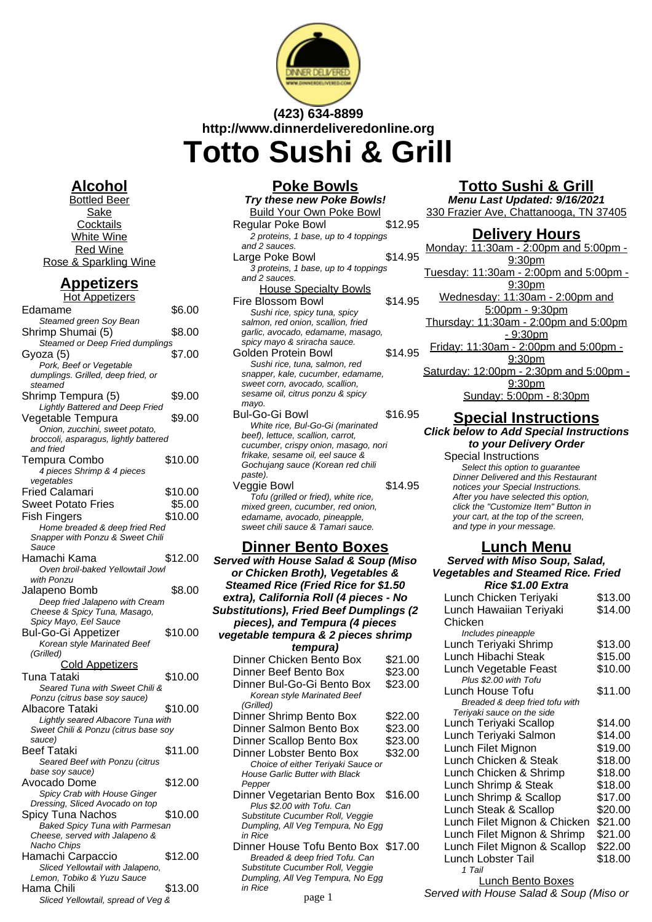

# **(423) 634-8899 http://www.dinnerdeliveredonline.org Totto Sushi & Grill**

# **Alcohol**

Bottled Beer Sake **Cocktails** White Wine Red Wine Rose & Sparkling Wine

# **Appetizers**

| <u>Hot Appetizers</u>                         |         |
|-----------------------------------------------|---------|
| Edamame                                       | \$6.00  |
| Steamed green Soy Bean                        |         |
| Shrimp Shumai (5)                             | \$8.00  |
| Steamed or Deep Fried dumplings               |         |
| Gyoza (5)                                     | \$7.00  |
| Pork, Beef or Vegetable                       |         |
| dumplings. Grilled, deep fried, or            |         |
| steamed                                       |         |
| Shrimp Tempura (5)                            | \$9.00  |
| Lightly Battered and Deep Fried               |         |
| Vegetable Tempura                             | \$9.00  |
| Onion, zucchini, sweet potato,                |         |
| broccoli, asparagus, lightly battered         |         |
| and fried                                     |         |
| Tempura Combo                                 | \$10.00 |
| 4 pieces Shrimp & 4 pieces                    |         |
| vegetables                                    |         |
| Fried Calamari                                | \$10.00 |
| <b>Sweet Potato Fries</b>                     | \$5.00  |
| Fish Fingers                                  | \$10.00 |
| Home breaded & deep fried Red                 |         |
| Snapper with Ponzu & Sweet Chili              |         |
| Sauce                                         |         |
| Hamachi Kama                                  | \$12.00 |
| Oven broil-baked Yellowtail Jowl              |         |
| with Ponzu                                    |         |
| Jalapeno Bomb                                 | \$8.00  |
| Deep fried Jalapeno with Cream                |         |
| Cheese & Spicy Tuna, Masago,                  |         |
| Spicy Mayo, Eel Sauce                         |         |
| Bul-Go-Gi Appetizer                           | \$10.00 |
| Korean style Marinated Beef                   |         |
| (Grilled)                                     |         |
|                                               |         |
|                                               |         |
| <b>Cold Appetizers</b>                        |         |
| Tuna Tataki                                   | \$10.00 |
| Seared Tuna with Sweet Chili &                |         |
| Ponzu (citrus base soy sauce)                 |         |
| Albacore Tataki                               | \$10.00 |
| Lightly seared Albacore Tuna with             |         |
| Sweet Chili & Ponzu (citrus base soy          |         |
| sauce)                                        |         |
| Beef Tataki                                   | \$11.00 |
| Seared Beef with Ponzu (citrus                |         |
| base soy sauce)                               |         |
| Avocado Dome                                  | \$12.00 |
| Spicy Crab with House Ginger                  |         |
| Dressing, Sliced Avocado on top               |         |
| Spicy Tuna Nachos                             | \$10.00 |
| Baked Spicy Tuna with Parmesan                |         |
| Cheese, served with Jalapeno &<br>Nacho Chips |         |
|                                               |         |
| Hamachi Carpaccio                             | \$12.00 |
| Sliced Yellowtail with Jalapeno,              |         |
| Lemon, Tobiko & Yuzu Sauce<br>Hama Chili      | \$13.00 |

#### **Poke Bowls Try these new Poke Bowls!** Build Your Own Poke Bowl Regular Poke Bowl \$12.95 2 proteins, 1 base, up to 4 toppings and 2 sauces. Large Poke Bowl \$14.95 3 proteins, 1 base, up to 4 toppings and 2 sauces. House Specialty Bowls Fire Blossom Bowl \$14.95 Sushi rice, spicy tuna, spicy salmon, red onion, scallion, fried garlic, avocado, edamame, masago, spicy mayo & sriracha sauce. Golden Protein Bowl \$14.95 Sushi rice, tuna, salmon, red snapper, kale, cucumber, edamame, sweet corn, avocado, scallion, sesame oil, citrus ponzu & spicy mayo. Bul-Go-Gi Bowl \$16.95 White rice, Bul-Go-Gi (marinated beef), lettuce, scallion, carrot, cucumber, crispy onion, masago, nori frikake, sesame oil, eel sauce & Gochujang sauce (Korean red chili paste). Veggie Bowl \$14.95 Tofu (grilled or fried), white rice,

mixed green, cucumber, red onion, edamame, avocado, pineapple, sweet chili sauce & Tamari sauce.

## **Dinner Bento Boxes**

**Served with House Salad & Soup (Miso or Chicken Broth), Vegetables & Steamed Rice (Fried Rice for \$1.50 extra), California Roll (4 pieces - No Substitutions), Fried Beef Dumplings (2 pieces), and Tempura (4 pieces vegetable tempura & 2 pieces shrimp tempura)** Dinner Chicken Bento Box \$21.00 Dinner Beef Bento Box \$23.00 Dinner Bul-Go-Gi Bento Box \$23.00 Korean style Marinated Beef (Grilled) Dinner Shrimp Bento Box \$22.00 Dinner Salmon Bento Box \$23.00 Dinner Scallop Bento Box \$23.00 Dinner Lobster Bento Box \$32.00 Choice of either Teriyaki Sauce or House Garlic Butter with Black Pepper Dinner Vegetarian Bento Box \$16.00 Plus \$2.00 with Tofu. Can Substitute Cucumber Roll, Veggie Dumpling, All Veg Tempura, No Egg in Rice Dinner House Tofu Bento Box \$17.00 Breaded & deep fried Tofu. Can Substitute Cucumber Roll, Veggie Dumpling, All Veg Tempura, No Egg

in Rice

# **Totto Sushi & Grill**

**Menu Last Updated: 9/16/2021** 330 Frazier Ave, Chattanooga, TN 37405

## **Delivery Hours**

Monday: 11:30am - 2:00pm and 5:00pm - 9:30pm Tuesday: 11:30am - 2:00pm and 5:00pm - 9:30pm Wednesday: 11:30am - 2:00pm and 5:00pm - 9:30pm Thursday: 11:30am - 2:00pm and 5:00pm - 9:30pm Friday: 11:30am - 2:00pm and 5:00pm - 9:30pm Saturday: 12:00pm - 2:30pm and 5:00pm -9:30pm Sunday: 5:00pm - 8:30pm

# **Special Instructions**

#### **Click below to Add Special Instructions to your Delivery Order**

Special Instructions Select this option to guarantee Dinner Delivered and this Restaurant notices your Special Instructions. After you have selected this option, click the "Customize Item" Button in your cart, at the top of the screen, and type in your message.

## **Lunch Menu**

# **Served with Miso Soup, Salad, Vegetables and Steamed Rice. Fried**

| Rice \$1.00 Extra              |         |
|--------------------------------|---------|
| Lunch Chicken Teriyaki         | \$13.00 |
| Lunch Hawaiian Teriyaki        | \$14.00 |
| Chicken                        |         |
| Includes pineapple             |         |
| Lunch Teriyaki Shrimp          | \$13.00 |
| Lunch Hibachi Steak            | \$15.00 |
| Lunch Vegetable Feast          | \$10.00 |
| Plus \$2.00 with Tofu          |         |
| Lunch House Tofu               | \$11.00 |
| Breaded & deep fried tofu with |         |
| Teriyaki sauce on the side     |         |
| Lunch Teriyaki Scallop         | \$14.00 |
| Lunch Teriyaki Salmon          | \$14.00 |
| Lunch Filet Mignon             | \$19.00 |
| Lunch Chicken & Steak          | \$18.00 |
| Lunch Chicken & Shrimp         | \$18.00 |
| Lunch Shrimp & Steak           | \$18.00 |
| Lunch Shrimp & Scallop         | \$17.00 |
| Lunch Steak & Scallop          | \$20.00 |
| Lunch Filet Mignon & Chicken   | \$21.00 |
| Lunch Filet Mignon & Shrimp    | \$21.00 |
| Lunch Filet Mignon & Scallop   | \$22.00 |
| Lunch Lobster Tail             | \$18.00 |
| 1 Tail                         |         |
|                                |         |

Lunch Bento Boxes page 1 Served with House Salad & Soup (Miso or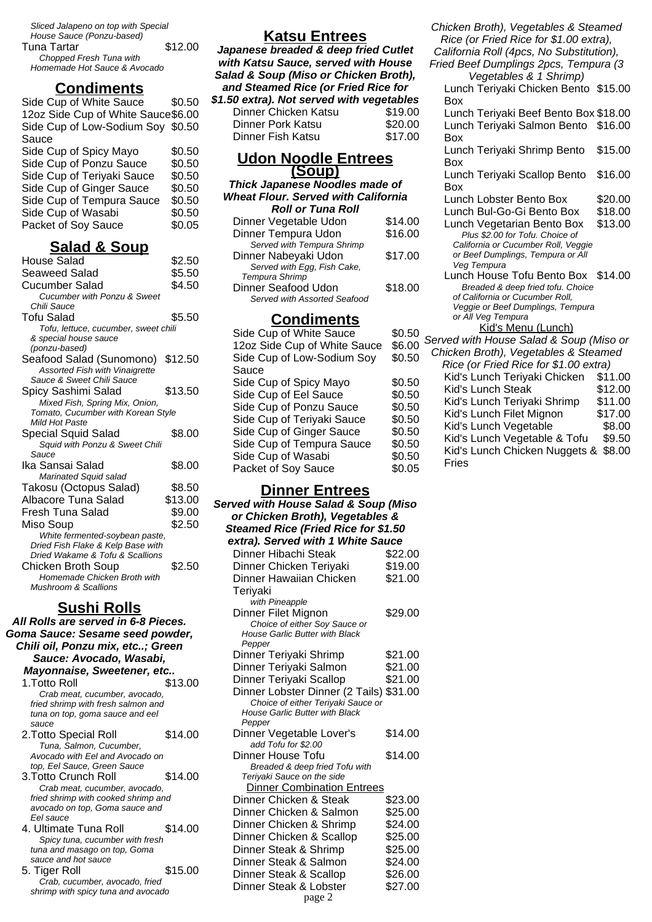Sliced Jalapeno on top with Special House Sauce (Ponzu-based) Tuna Tartar  $$12.00$ 

| ι νιια ι αι ιαι              | ے رس |
|------------------------------|------|
| Chopped Fresh Tuna with      |      |
| Homemade Hot Sauce & Avocado |      |
|                              |      |

# **Condiments**

| Side Cup of White Sauce            | \$0.50 |
|------------------------------------|--------|
| 12oz Side Cup of White Sauce\$6.00 |        |
| Side Cup of Low-Sodium Soy \$0.50  |        |
| Sauce                              |        |
| Side Cup of Spicy Mayo             | \$0.50 |
| Side Cup of Ponzu Sauce            | \$0.50 |
| Side Cup of Teriyaki Sauce         | \$0.50 |
| Side Cup of Ginger Sauce           | \$0.50 |
| Side Cup of Tempura Sauce          | \$0.50 |
| Side Cup of Wasabi                 | \$0.50 |
| Packet of Soy Sauce                | \$0.05 |
|                                    |        |

# **Salad & Soup**

| House Salad                                                         | \$2.50  |
|---------------------------------------------------------------------|---------|
| Seaweed Salad                                                       | \$5.50  |
| Cucumber Salad                                                      | \$4.50  |
| <b>Cucumber with Ponzu &amp; Sweet</b>                              |         |
| Chili Sauce                                                         |         |
| <b>Tofu Salad</b>                                                   | \$5.50  |
| Tofu, lettuce, cucumber, sweet chili                                |         |
| & special house sauce                                               |         |
| (ponzu-based)                                                       |         |
| Seafood Salad (Sunomono)                                            | \$12.50 |
| Assorted Fish with Vinaigrette                                      |         |
| Sauce & Sweet Chili Sauce                                           |         |
| Spicy Sashimi Salad                                                 | \$13.50 |
| Mixed Fish, Spring Mix, Onion,                                      |         |
| Tomato, Cucumber with Korean Style<br>Mild Hot Paste                |         |
| Special Squid Salad                                                 | \$8.00  |
| Squid with Ponzu & Sweet Chili                                      |         |
| Sauce                                                               |         |
| Ika Sansai Salad                                                    | \$8.00  |
| Marinated Squid salad                                               |         |
| Takosu (Octopus Salad)                                              | \$8.50  |
| Albacore Tuna Salad                                                 | \$13.00 |
| Fresh Tuna Salad                                                    | \$9.00  |
|                                                                     |         |
| Miso Soup                                                           | \$2.50  |
| White fermented-soybean paste,<br>Dried Fish Flake & Kelp Base with |         |
| Dried Wakame & Tofu & Scallions                                     |         |
| Chicken Broth Soup                                                  | \$2.50  |
| Homemade Chicken Broth with                                         |         |
| Mushroom & Scallions                                                |         |
|                                                                     |         |

# **Sushi Rolls**

| All Rolls are served in 6-8 Pieces.                             |         |
|-----------------------------------------------------------------|---------|
| Goma Sauce: Sesame seed powder,                                 |         |
| Chili oil, Ponzu mix, etc; Green                                |         |
| Sauce: Avocado, Wasabi,                                         |         |
| Mayonnaise, Sweetener, etc                                      |         |
| 1 Totto Roll                                                    | \$13.00 |
| Crab meat, cucumber, avocado,                                   |         |
| fried shrimp with fresh salmon and                              |         |
| tuna on top, goma sauce and eel                                 |         |
| sauce                                                           |         |
| 2.Totto Special Roll                                            | \$14.00 |
| Tuna, Salmon, Cucumber,                                         |         |
| Avocado with Fel and Avocado on                                 |         |
| top, Eel Sauce, Green Sauce                                     |         |
| 3. Totto Crunch Roll                                            | \$14.00 |
| Crab meat, cucumber, avocado,                                   |         |
| fried shrimp with cooked shrimp and                             |         |
| avocado on top, Goma sauce and<br>Fel sauce                     |         |
|                                                                 |         |
| 4. Ultimate Tuna Roll                                           | \$14.00 |
| Spicy tuna, cucumber with fresh<br>tuna and masago on top, Goma |         |
| sauce and hot sauce                                             |         |
| 5. Tiger Roll                                                   | \$15.00 |
| Crab, cucumber, avocado, fried                                  |         |
| shrimp with spicy tuna and avocado                              |         |
|                                                                 |         |

# **Katsu Entrees**

**Japanese breaded & deep fried Cutlet with Katsu Sauce, served with House Salad & Soup (Miso or Chicken Broth), and Steamed Rice (or Fried Rice for \$1.50 extra). Not served with vegetables**

| Dinner Chicken Katsu | \$19.00 |
|----------------------|---------|
| Dinner Pork Katsu    | \$20.00 |
| Dinner Fish Katsu    | \$17.00 |

### **Udon Noodle Entrees (Soup)**

#### **Thick Japanese Noodles made of Wheat Flour. Served with California Roll or Tuna Roll** Dinner Vegetable Udon \$14.00 Dinner Tempura Udon \$16.00 Served with Tempura Shrimp Dinner Nabeyaki Udon \$17.00 Served with Egg, Fish Cake, Tempura Shrimp Dinner Seafood Udon \$18.00 Served with Assorted Seafood

### **Condiments**

| Side Cup of White Sauce      | \$0.50 |
|------------------------------|--------|
| 12oz Side Cup of White Sauce | \$6.00 |
| Side Cup of Low-Sodium Soy   | \$0.50 |
| Sauce                        |        |
| Side Cup of Spicy Mayo       | \$0.50 |
| Side Cup of Eel Sauce        | \$0.50 |
| Side Cup of Ponzu Sauce      | \$0.50 |
| Side Cup of Teriyaki Sauce   | \$0.50 |
| Side Cup of Ginger Sauce     | \$0.50 |
| Side Cup of Tempura Sauce    | \$0.50 |
| Side Cup of Wasabi           | \$0.50 |
| Packet of Soy Sauce          | \$0.05 |
|                              |        |

# **Dinner Entrees**

| or Chicken Broth), Vegetables &<br>Steamed Rice (Fried Rice for \$1.50<br>extra). Served with 1 White Sauce<br>Dinner Hibachi Steak<br>\$22.00<br>Dinner Chicken Teriyaki<br>\$19.00<br>Dinner Hawaiian Chicken<br>\$21.00<br>Teriyaki<br>with Pineapple<br>Dinner Filet Mignon<br>\$29.00<br>Choice of either Soy Sauce or<br><b>House Garlic Butter with Black</b><br>Pepper<br>Dinner Teriyaki Shrimp<br>\$21.00<br>Dinner Teriyaki Salmon<br>\$21.00 |
|----------------------------------------------------------------------------------------------------------------------------------------------------------------------------------------------------------------------------------------------------------------------------------------------------------------------------------------------------------------------------------------------------------------------------------------------------------|
|                                                                                                                                                                                                                                                                                                                                                                                                                                                          |
|                                                                                                                                                                                                                                                                                                                                                                                                                                                          |
|                                                                                                                                                                                                                                                                                                                                                                                                                                                          |
|                                                                                                                                                                                                                                                                                                                                                                                                                                                          |
|                                                                                                                                                                                                                                                                                                                                                                                                                                                          |
|                                                                                                                                                                                                                                                                                                                                                                                                                                                          |
|                                                                                                                                                                                                                                                                                                                                                                                                                                                          |
|                                                                                                                                                                                                                                                                                                                                                                                                                                                          |
|                                                                                                                                                                                                                                                                                                                                                                                                                                                          |
|                                                                                                                                                                                                                                                                                                                                                                                                                                                          |
|                                                                                                                                                                                                                                                                                                                                                                                                                                                          |
|                                                                                                                                                                                                                                                                                                                                                                                                                                                          |
|                                                                                                                                                                                                                                                                                                                                                                                                                                                          |
| Dinner Teriyaki Scallop<br>\$21.00                                                                                                                                                                                                                                                                                                                                                                                                                       |
| Dinner Lobster Dinner (2 Tails)<br>\$31.00                                                                                                                                                                                                                                                                                                                                                                                                               |
| Choice of either Teriyaki Sauce or                                                                                                                                                                                                                                                                                                                                                                                                                       |
| <b>House Garlic Butter with Black</b>                                                                                                                                                                                                                                                                                                                                                                                                                    |
| Pepper                                                                                                                                                                                                                                                                                                                                                                                                                                                   |
| \$14.00<br>Dinner Vegetable Lover's                                                                                                                                                                                                                                                                                                                                                                                                                      |
| add Tofu for \$2.00                                                                                                                                                                                                                                                                                                                                                                                                                                      |
| Dinner House Tofu<br>\$14.00                                                                                                                                                                                                                                                                                                                                                                                                                             |
| Breaded & deep fried Tofu with<br>Teriyaki Sauce on the side                                                                                                                                                                                                                                                                                                                                                                                             |
| <b>Dinner Combination Entrees</b>                                                                                                                                                                                                                                                                                                                                                                                                                        |
| Dinner Chicken & Steak<br>\$23.00                                                                                                                                                                                                                                                                                                                                                                                                                        |
| Dinner Chicken & Salmon<br>\$25.00                                                                                                                                                                                                                                                                                                                                                                                                                       |
| Dinner Chicken & Shrimp<br>\$24.00                                                                                                                                                                                                                                                                                                                                                                                                                       |
| Dinner Chicken & Scallop<br>\$25.00                                                                                                                                                                                                                                                                                                                                                                                                                      |
| Dinner Steak & Shrimp<br>\$25.00                                                                                                                                                                                                                                                                                                                                                                                                                         |
| Dinner Steak & Salmon<br>\$24.00                                                                                                                                                                                                                                                                                                                                                                                                                         |
| Dinner Steak & Scallop<br>\$26.00                                                                                                                                                                                                                                                                                                                                                                                                                        |
| Dinner Steak & Lobster<br>\$27.00                                                                                                                                                                                                                                                                                                                                                                                                                        |
| page 2                                                                                                                                                                                                                                                                                                                                                                                                                                                   |

| Chicken Broth), Vegetables & Steamed<br>Rice (or Fried Rice for \$1.00 extra),<br>California Roll (4pcs, No Substitution),<br>Fried Beef Dumplings 2pcs, Tempura (3 |
|---------------------------------------------------------------------------------------------------------------------------------------------------------------------|
| Lunch Teriyaki Chicken Bento \$15.00                                                                                                                                |
|                                                                                                                                                                     |
| Lunch Teriyaki Beef Bento Box \$18.00                                                                                                                               |
| Lunch Teriyaki Salmon Bento \$16.00                                                                                                                                 |
|                                                                                                                                                                     |
| \$15.00                                                                                                                                                             |
|                                                                                                                                                                     |
| \$16.00                                                                                                                                                             |
|                                                                                                                                                                     |
| \$20.00                                                                                                                                                             |
| \$18.00                                                                                                                                                             |
| \$13.00                                                                                                                                                             |
|                                                                                                                                                                     |

- Plus \$2.00 for Tofu. Choice of California or Cucumber Roll, Veggie or Beef Dumplings, Tempura or All Veg Tempura
- Lunch House Tofu Bento Box \$14.00 Breaded & deep fried tofu. Choice of California or Cucumber Roll, Veggie or Beef Dumplings, Tempura or All Veg Tempura

### Kid's Menu (Lunch)

| .vv<br>00 | Served with House Salad & Soup (Miso or |         |
|-----------|-----------------------------------------|---------|
| 50        | Chicken Broth), Vegetables & Steamed    |         |
|           | Rice (or Fried Rice for \$1.00 extra)   |         |
| .50       | Kid's Lunch Teriyaki Chicken            | \$11.00 |
| .50       | Kid's Lunch Steak                       | \$12.00 |
| .50       | Kid's Lunch Teriyaki Shrimp             | \$11.00 |
| .50       | Kid's Lunch Filet Mignon                | \$17.00 |
| .50       | Kid's Lunch Vegetable                   | \$8.00  |
| .50       | Kid's Lunch Vegetable & Tofu            | \$9.50  |
| .50       | Kid's Lunch Chicken Nuggets &           | \$8.00  |
|           | Fries                                   |         |
| .05       |                                         |         |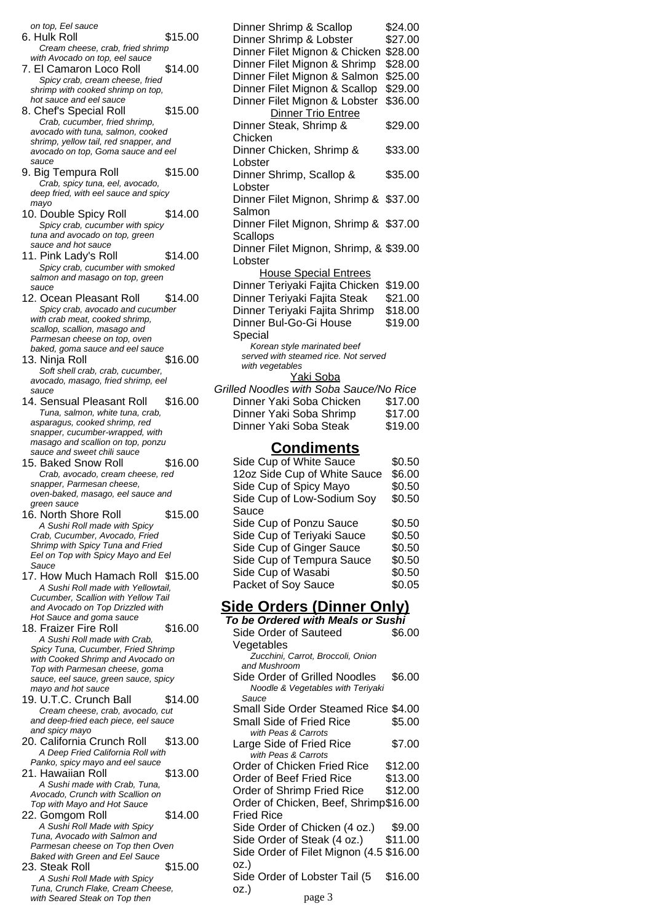| on top, Eel sauce                                                           |         | Dinner Shrimp & Scallop                         |                                         | \$24.00 |
|-----------------------------------------------------------------------------|---------|-------------------------------------------------|-----------------------------------------|---------|
| 6. Hulk Roll                                                                | \$15.00 | Dinner Shrimp & Lobster                         |                                         | \$27.00 |
| Cream cheese, crab, fried shrimp                                            |         |                                                 | Dinner Filet Mignon & Chicken           | \$28.00 |
| with Avocado on top, eel sauce                                              |         |                                                 | Dinner Filet Mignon & Shrimp            | \$28.00 |
| 7. El Camaron Loco Roll                                                     | \$14.00 |                                                 | Dinner Filet Mignon & Salmon            | \$25.00 |
| Spicy crab, cream cheese, fried<br>shrimp with cooked shrimp on top,        |         |                                                 | Dinner Filet Mignon & Scallop           | \$29.00 |
| hot sauce and eel sauce                                                     |         |                                                 | Dinner Filet Mignon & Lobster           | \$36.00 |
| 8. Chef's Special Roll                                                      | \$15.00 |                                                 | Dinner Trio Entree                      |         |
| Crab, cucumber, fried shrimp,                                               |         | Dinner Steak, Shrimp &                          |                                         | \$29.00 |
| avocado with tuna, salmon, cooked                                           |         | Chicken                                         |                                         |         |
| shrimp, yellow tail, red snapper, and<br>avocado on top, Goma sauce and eel |         |                                                 | Dinner Chicken, Shrimp &                | \$33.00 |
| sauce                                                                       |         | Lobster                                         |                                         |         |
| 9. Big Tempura Roll                                                         | \$15.00 |                                                 | Dinner Shrimp, Scallop &                | \$35.00 |
| Crab, spicy tuna, eel, avocado,                                             |         | Lobster                                         |                                         |         |
| deep fried, with eel sauce and spicy                                        |         |                                                 | Dinner Filet Mignon, Shrimp & \$37.00   |         |
| mayo<br>10. Double Spicy Roll                                               | \$14.00 | Salmon                                          |                                         |         |
| Spicy crab, cucumber with spicy                                             |         |                                                 | Dinner Filet Mignon, Shrimp & \$37.00   |         |
| tuna and avocado on top, green                                              |         | Scallops                                        |                                         |         |
| sauce and hot sauce                                                         |         |                                                 | Dinner Filet Mignon, Shrimp, & \$39.00  |         |
| 11. Pink Lady's Roll                                                        | \$14.00 | Lobster                                         |                                         |         |
| Spicy crab, cucumber with smoked                                            |         |                                                 | <b>House Special Entrees</b>            |         |
| salmon and masago on top, green<br>sauce                                    |         |                                                 | Dinner Teriyaki Fajita Chicken          | \$19.00 |
| 12. Ocean Pleasant Roll                                                     | \$14.00 |                                                 | Dinner Teriyaki Fajita Steak            | \$21.00 |
| Spicy crab, avocado and cucumber                                            |         |                                                 | Dinner Teriyaki Fajita Shrimp           | \$18.00 |
| with crab meat, cooked shrimp,                                              |         | Dinner Bul-Go-Gi House                          |                                         | \$19.00 |
| scallop, scallion, masago and                                               |         | Special                                         |                                         |         |
| Parmesan cheese on top, oven<br>baked, goma sauce and eel sauce             |         |                                                 | Korean style marinated beef             |         |
| 13. Ninja Roll                                                              | \$16.00 |                                                 | served with steamed rice. Not served    |         |
| Soft shell crab, crab, cucumber,                                            |         | with vegetables                                 |                                         |         |
| avocado, masago, fried shrimp, eel                                          |         |                                                 | Yaki Soba                               |         |
| sauce                                                                       |         |                                                 | Grilled Noodles with Soba Sauce/No Rice |         |
| 14. Sensual Pleasant Roll                                                   | \$16.00 |                                                 | Dinner Yaki Soba Chicken                | \$17.00 |
| Tuna, salmon, white tuna, crab,<br>asparagus, cooked shrimp, red            |         |                                                 | Dinner Yaki Soba Shrimp                 | \$17.00 |
| snapper, cucumber-wrapped, with                                             |         | Dinner Yaki Soba Steak                          |                                         | \$19.00 |
| masago and scallion on top, ponzu                                           |         |                                                 | <b>Condiments</b>                       |         |
| sauce and sweet chili sauce                                                 |         |                                                 |                                         |         |
| 15. Baked Snow Roll                                                         | \$16.00 |                                                 | Side Cup of White Sauce                 | \$0.50  |
| Crab, avocado, cream cheese, red<br>snapper, Parmesan cheese,               |         |                                                 | 12oz Side Cup of White Sauce            | \$6.00  |
| oven-baked, masago, eel sauce and                                           |         | Side Cup of Spicy Mayo                          |                                         | \$0.50  |
| green sauce                                                                 |         |                                                 | Side Cup of Low-Sodium Soy              | \$0.50  |
| 16. North Shore Roll                                                        | \$15.00 | Sauce                                           |                                         |         |
| A Sushi Roll made with Spicy                                                |         |                                                 | Side Cup of Ponzu Sauce                 | \$0.50  |
| Crab, Cucumber, Avocado, Fried<br>Shrimp with Spicy Tuna and Fried          |         |                                                 | Side Cup of Teriyaki Sauce              | \$0.50  |
| Eel on Top with Spicy Mayo and Eel                                          |         |                                                 | Side Cup of Ginger Sauce                | \$0.50  |
| Sauce                                                                       |         |                                                 | Side Cup of Tempura Sauce               | \$0.50  |
| 17. How Much Hamach Roll \$15.00                                            |         | Side Cup of Wasabi                              |                                         | \$0.50  |
| A Sushi Roll made with Yellowtail,                                          |         | Packet of Soy Sauce                             |                                         | \$0.05  |
| Cucumber, Scallion with Yellow Tail                                         |         |                                                 | <u>Side Orders (Dinner Only)</u>        |         |
| and Avocado on Top Drizzled with<br>Hot Sauce and goma sauce                |         |                                                 | To be Ordered with Meals or Sushi       |         |
| 18. Fraizer Fire Roll                                                       | \$16.00 |                                                 |                                         |         |
| A Sushi Roll made with Crab,                                                |         | Side Order of Sauteed                           |                                         | \$6.00  |
| Spicy Tuna, Cucumber, Fried Shrimp                                          |         | Vegetables                                      | Zucchini, Carrot, Broccoli, Onion       |         |
| with Cooked Shrimp and Avocado on                                           |         | and Mushroom                                    |                                         |         |
| Top with Parmesan cheese, goma<br>sauce, eel sauce, green sauce, spicy      |         |                                                 | Side Order of Grilled Noodles           | \$6.00  |
| mayo and hot sauce                                                          |         |                                                 | Noodle & Vegetables with Teriyaki       |         |
| 19. U.T.C. Crunch Ball                                                      | \$14.00 | Sauce                                           |                                         |         |
| Cream cheese, crab, avocado, cut                                            |         |                                                 | Small Side Order Steamed Rice \$4.00    |         |
| and deep-fried each piece, eel sauce                                        |         | <b>Small Side of Fried Rice</b>                 |                                         | \$5.00  |
| and spicy mayo<br>20. California Crunch Roll                                | \$13.00 | with Peas & Carrots                             |                                         |         |
| A Deep Fried California Roll with                                           |         | Large Side of Fried Rice<br>with Peas & Carrots |                                         | \$7.00  |
| Panko, spicy mayo and eel sauce                                             |         |                                                 | Order of Chicken Fried Rice             | \$12.00 |
| 21. Hawaiian Roll                                                           | \$13.00 | Order of Beef Fried Rice                        |                                         | \$13.00 |
| A Sushi made with Crab, Tuna,                                               |         |                                                 | Order of Shrimp Fried Rice              | \$12.00 |
| Avocado, Crunch with Scallion on                                            |         |                                                 | Order of Chicken, Beef, Shrimp\$16.00   |         |
| Top with Mayo and Hot Sauce                                                 | \$14.00 | <b>Fried Rice</b>                               |                                         |         |
| 22. Gomgom Roll<br>A Sushi Roll Made with Spicy                             |         |                                                 | Side Order of Chicken (4 oz.)           | \$9.00  |
| Tuna, Avocado with Salmon and                                               |         |                                                 | Side Order of Steak (4 oz.)             | \$11.00 |
| Parmesan cheese on Top then Oven                                            |         |                                                 | Side Order of Filet Mignon (4.5 \$16.00 |         |
| Baked with Green and Eel Sauce                                              |         |                                                 |                                         |         |
| 23. Steak Roll                                                              |         |                                                 |                                         |         |
|                                                                             | \$15.00 | OZ.)                                            |                                         |         |
| A Sushi Roll Made with Spicy<br>Tuna, Crunch Flake, Cream Cheese,           |         | 0Z.)                                            | Side Order of Lobster Tail (5           | \$16.00 |

### up of Ponzu Sauce \$0.50 up of Teriyaki Sauce \$0.50 up of Ginger Sauce \$0.50 up of Tempura Sauce \$0.50 up of Wasabi  $$0.50$ of Soy Sauce \$0.05 **Statebers (Dinner Only) To be Ordered with Meals or Sushi**

#### der of Sauteed bles \$6.00 chini, Carrot, Broccoli, Onion ushroom rder of Grilled Noodles \$6.00 dle & Vegetables with Teriyaki Side Order Steamed Rice \$4.00 Side of Fried Rice \$5.00 Peas & Carrots Side of Fried Rice \$7.00 Peas & Carrots of Chicken Fried Rice \$12.00 of Beef Fried Rice \$13.00 of Shrimp Fried Rice \$12.00 Order of Chicken, Beef, Shrimp \$16.00 ice rder of Chicken (4 oz.) \$9.00<br>rder of Steak (4 oz.) \$11.00 der of Steak (4 oz.) Side Order of Filet Mignon (4.5 \$16.00 rder of Lobster Tail (5 \$16.00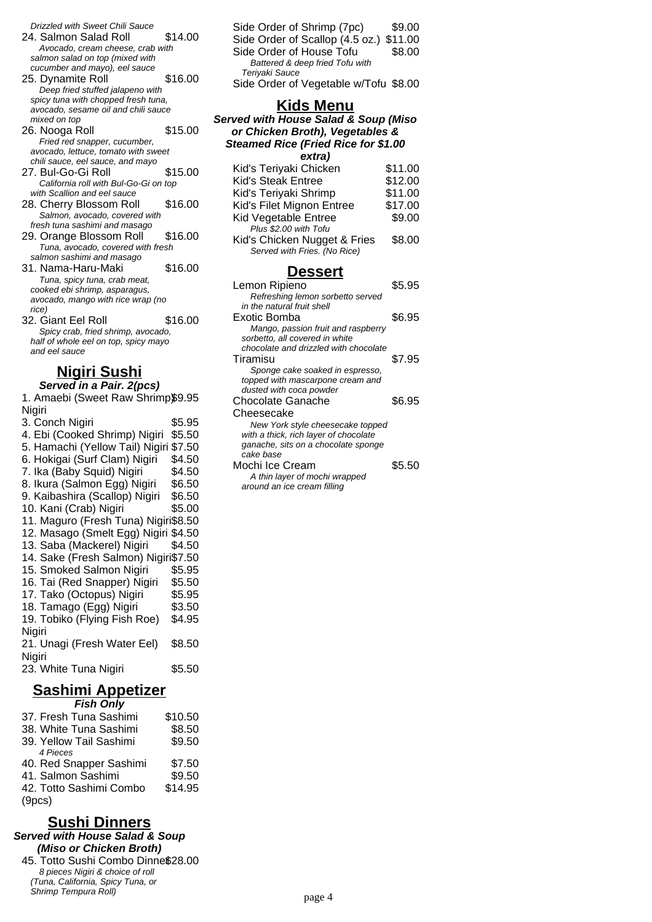Drizzled with Sweet Chili Sauce

- 24. Salmon Salad Roll \$14.00 Avocado, cream cheese, crab with salmon salad on top (mixed with cucumber and mayo), eel sauce
- 25. Dynamite Roll \$16.00 Deep fried stuffed jalapeno with spicy tuna with chopped fresh tuna, avocado, sesame oil and chili sauce mixed on top
- 26. Nooga Roll \$15.00 Fried red snapper, cucumber, avocado, lettuce, tomato with sweet chili sauce, eel sauce, and mayo
- 27. Bul-Go-Gi Roll \$15.00 California roll with Bul-Go-Gi on top with Scallion and eel sauce
- 28. Cherry Blossom Roll \$16.00 Salmon, avocado, covered with fresh tuna sashimi and masago
- 29. Orange Blossom Roll \$16.00 Tuna, avocado, covered with fresh salmon sashimi and masago
- 31. Nama-Haru-Maki \$16.00 Tuna, spicy tuna, crab meat, cooked ebi shrimp, asparagus, avocado, mango with rice wrap (no rice)
- 32. Giant Eel Roll \$16.00 Spicy crab, fried shrimp, avocado, half of whole eel on top, spicy mayo and eel sauce

# **Nigiri Sushi**

### **Served in a Pair. 2(pcs)**

1. Amaebi (Sweet Raw Shrimp\$9.95 Nigiri 3. Conch Nigiri \$5.95 4. Ebi (Cooked Shrimp) Nigiri \$5.50 5. Hamachi (Yellow Tail) Nigiri \$7.50 6. Hokigai (Surf Clam) Nigiri \$4.50 7. Ika (Baby Squid) Nigiri \$4.50 8. Ikura (Salmon Egg) Nigiri \$6.50 9. Kaibashira (Scallop) Nigiri \$6.50 10. Kani (Crab) Nigiri \$5.00 11. Maguro (Fresh Tuna) Nigiri\$8.50 12. Masago (Smelt Egg) Nigiri \$4.50 13. Saba (Mackerel) Nigiri \$4.50 14. Sake (Fresh Salmon) Nigiri\$7.50 15. Smoked Salmon Nigiri \$5.95 16. Tai (Red Snapper) Nigiri \$5.50 17. Tako (Octopus) Nigiri \$5.95 18. Tamago (Egg) Nigiri \$3.50 19. Tobiko (Flying Fish Roe) Nigiri \$4.95 21. Unagi (Fresh Water Eel) Nigiri \$8.50 23. White Tuna Nigiri \$5.50 **Sashimi Appetizer**

| <b>Fish Only</b>             |         |
|------------------------------|---------|
| 37. Fresh Tuna Sashimi       | \$10.50 |
| 20 <i>White</i> Tung Coopimi | co دa   |

| <u>JU. VIIIIG TUHA JASHIIII</u> | ⊎ບ.ບບ   |
|---------------------------------|---------|
| 39. Yellow Tail Sashimi         | \$9.50  |
| 4 Pieces                        |         |
| 40. Red Snapper Sashimi         | \$7.50  |
| 41. Salmon Sashimi              | \$9.50  |
| 42. Totto Sashimi Combo         | \$14.95 |
| (9pcs)                          |         |

### **Sushi Dinners**

#### **Served with House Salad & Soup (Miso or Chicken Broth)**

45. Totto Sushi Combo Dinne\$28.00 8 pieces Nigiri & choice of roll (Tuna, California, Spicy Tuna, or Shrimp Tempura Roll)

| Side Order of Shrimp (7pc)              | \$9.00 |
|-----------------------------------------|--------|
| Side Order of Scallop (4.5 oz.) \$11.00 |        |
| Side Order of House Tofu                | \$8.00 |
| Battered & deep fried Tofu with         |        |
| Teriyaki Sauce                          |        |
| Side Order of Vegetable w/Tofu \$8.00   |        |

### **Kids Menu**

**Served with House Salad & Soup (Miso or Chicken Broth), Vegetables & Steamed Rice (Fried Rice for \$1.00 extra)**

| Kid's Teriyaki Chicken       | \$11.00 |
|------------------------------|---------|
| <b>Kid's Steak Entree</b>    | \$12.00 |
| Kid's Teriyaki Shrimp        | \$11.00 |
| Kid's Filet Mignon Entree    | \$17.00 |
| Kid Vegetable Entree         | \$9.00  |
| Plus \$2.00 with Tofu        |         |
| Kid's Chicken Nugget & Fries | \$8.00  |
| Served with Fries. (No Rice) |         |

### **Dessert**

| Lemon Ripieno                         | \$5.95 |
|---------------------------------------|--------|
| Refreshing lemon sorbetto served      |        |
| in the natural fruit shell            |        |
| Exotic Bomba                          | \$6.95 |
| Mango, passion fruit and raspberry    |        |
| sorbetto, all covered in white        |        |
| chocolate and drizzled with chocolate |        |
| Tiramisu                              | \$7.95 |
| Sponge cake soaked in espresso,       |        |
| topped with mascarpone cream and      |        |
| dusted with coca powder               |        |
| Chocolate Ganache                     | \$6.95 |
| Cheesecake                            |        |
| New York style cheesecake topped      |        |
| with a thick, rich layer of chocolate |        |
| ganache, sits on a chocolate sponge   |        |
| cake base                             |        |
| Mochi Ice Cream                       | \$5.50 |
| A thin layer of mochi wrapped         |        |
| around an ice cream filling           |        |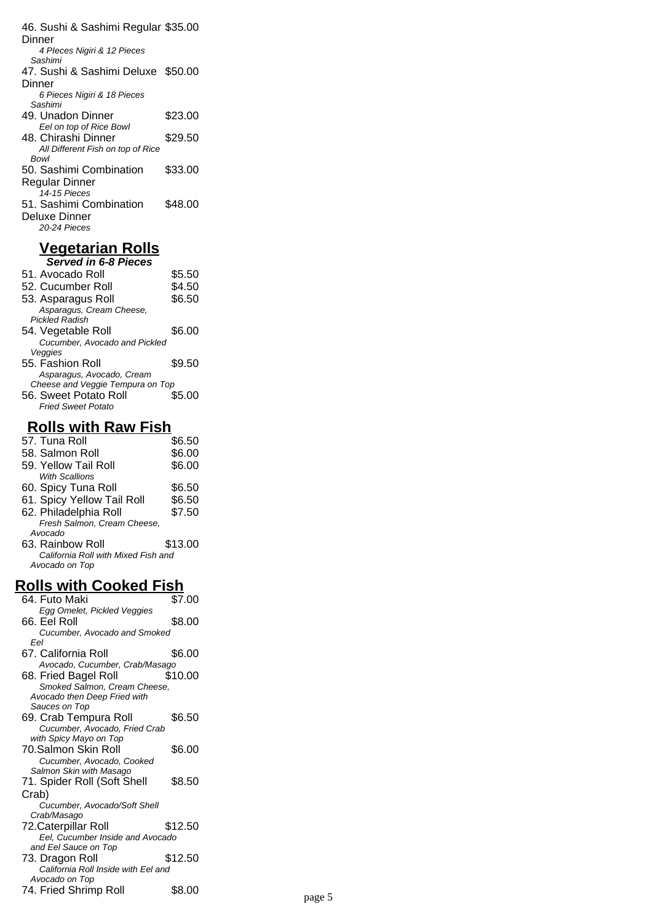46. Sushi & Sashimi Regular \$35.00 **Dinner** 4 PIeces Nigiri & 12 Pieces Sashimi 47. Sushi & Sashimi Deluxe \$50.00 Dinner 6 Pieces Nigiri & 18 Pieces Sashimi 49. Unadon Dinner \$23.00 Eel on top of Rice Bowl 48. Chirashi Dinner \$29.50 All Different Fish on top of Rice Bowl 50. Sashimi Combination Regular Dinner \$33.00 14-15 Pieces 51. Sashimi Combination Deluxe Dinner \$48.00 20-24 Pieces

#### **Vegetarian Rolls Served in 6-8 Pieces**

| 51. Avocado Roll                 | \$5.50 |
|----------------------------------|--------|
| 52. Cucumber Roll                | \$4.50 |
| 53. Asparagus Roll               | \$6.50 |
| Asparagus, Cream Cheese,         |        |
| <b>Pickled Radish</b>            |        |
| 54. Vegetable Roll               | \$6.00 |
| Cucumber, Avocado and Pickled    |        |
| Veggies                          |        |
| 55. Fashion Roll                 | \$9.50 |
| Asparagus, Avocado, Cream        |        |
| Cheese and Veggie Tempura on Top |        |
| 56. Sweet Potato Roll            | \$5.00 |
| <b>Fried Sweet Potato</b>        |        |
|                                  |        |

# **Rolls with Raw Fish**

| 57. Tuna Roll                       | \$6.50  |
|-------------------------------------|---------|
| 58. Salmon Roll                     | \$6.00  |
| 59. Yellow Tail Roll                | \$6.00  |
| With Scallions                      |         |
| 60. Spicy Tuna Roll                 | \$6.50  |
| 61. Spicy Yellow Tail Roll          | \$6.50  |
| 62. Philadelphia Roll               | \$7.50  |
| Fresh Salmon, Cream Cheese,         |         |
| Avocado                             |         |
| 63. Rainbow Roll                    | \$13.00 |
| California Roll with Mixed Fish and |         |
| Avocado on Top                      |         |
|                                     |         |

# **Rolls with Cooked Fish**

| 64. Futo Maki                                                                                         | \$7.00  |        |
|-------------------------------------------------------------------------------------------------------|---------|--------|
| Egg Omelet, Pickled Veggies<br>66. Eel Roll                                                           | \$8.00  |        |
| Cucumber, Avocado and Smoked<br>Eel                                                                   |         |        |
| 67. California Roll<br>Avocado, Cucumber, Crab/Masago                                                 | \$6.00  |        |
| 68. Fried Bagel Roll<br>Smoked Salmon, Cream Cheese,<br>Avocado then Deep Fried with<br>Sauces on Top | \$10.00 |        |
| 69. Crab Tempura Roll<br>Cucumber, Avocado, Fried Crab<br>with Spicy Mayo on Top                      | \$6.50  |        |
| 70.Salmon Skin Roll<br>Cucumber, Avocado, Cooked<br>Salmon Skin with Masago                           | \$6.00  |        |
| 71. Spider Roll (Soft Shell                                                                           | \$8.50  |        |
| Crab)<br>Cucumber, Avocado/Soft Shell<br>Crab/Masago                                                  |         |        |
| 72. Caterpillar Roll<br>Eel, Cucumber Inside and Avocado<br>and Eel Sauce on Top                      | \$12.50 |        |
| 73. Dragon Roll<br>California Roll Inside with Eel and<br>Avocado on Top                              | \$12.50 |        |
| 74. Fried Shrimp Roll                                                                                 | \$8.00  | page 5 |